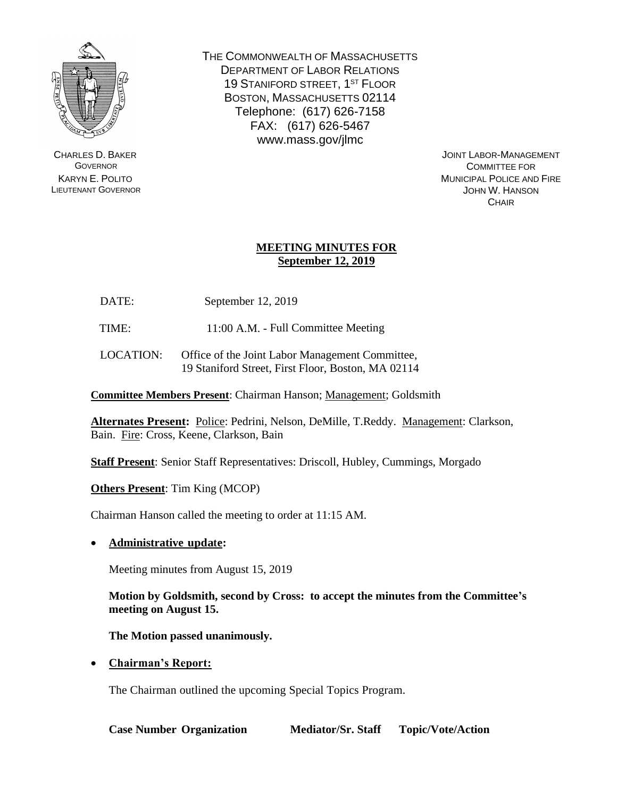

CHARLES D. BAKER **GOVERNOR** KARYN E. POLITO LIEUTENANT GOVERNOR THE COMMONWEALTH OF MASSACHUSETTS DEPARTMENT OF LABOR RELATIONS 19 STANIFORD STREET, 1<sup>ST</sup> FLOOR BOSTON, MASSACHUSETTS 02114 Telephone: (617) 626-7158 FAX: (617) 626-5467 www.mass.gov/jlmc

> JOINT LABOR-MANAGEMENT COMMITTEE FOR MUNICIPAL POLICE AND FIRE JOHN W. HANSON **CHAIR**

## **MEETING MINUTES FOR September 12, 2019**

DATE: September 12, 2019

TIME: 11:00 A.M. - Full Committee Meeting

LOCATION: Office of the Joint Labor Management Committee, 19 Staniford Street, First Floor, Boston, MA 02114

**Committee Members Present**: Chairman Hanson; Management; Goldsmith

**Alternates Present:** Police: Pedrini, Nelson, DeMille, T.Reddy. Management: Clarkson, Bain. Fire: Cross, Keene, Clarkson, Bain

**Staff Present**: Senior Staff Representatives: Driscoll, Hubley, Cummings, Morgado

**Others Present**: Tim King (MCOP)

Chairman Hanson called the meeting to order at 11:15 AM.

• **Administrative update:**

Meeting minutes from August 15, 2019

**Motion by Goldsmith, second by Cross: to accept the minutes from the Committee's meeting on August 15.**

**The Motion passed unanimously.**

• **Chairman's Report:**

The Chairman outlined the upcoming Special Topics Program.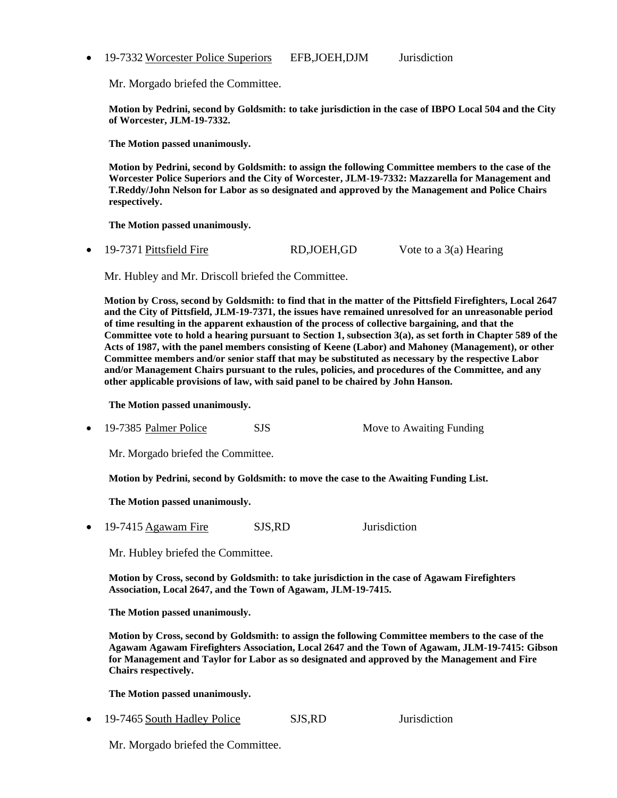• 19-7332 Worcester Police Superiors EFB, JOEH, DJM Jurisdiction

Mr. Morgado briefed the Committee.

**Motion by Pedrini, second by Goldsmith: to take jurisdiction in the case of IBPO Local 504 and the City of Worcester, JLM-19-7332.**

**The Motion passed unanimously.**

**Motion by Pedrini, second by Goldsmith: to assign the following Committee members to the case of the Worcester Police Superiors and the City of Worcester, JLM-19-7332: Mazzarella for Management and T.Reddy/John Nelson for Labor as so designated and approved by the Management and Police Chairs respectively.**

**The Motion passed unanimously.**

• 19-7371 Pittsfield Fire RD, JOEH, GD Vote to a 3(a) Hearing

Mr. Hubley and Mr. Driscoll briefed the Committee.

**Motion by Cross, second by Goldsmith: to find that in the matter of the Pittsfield Firefighters, Local 2647 and the City of Pittsfield, JLM-19-7371, the issues have remained unresolved for an unreasonable period of time resulting in the apparent exhaustion of the process of collective bargaining, and that the Committee vote to hold a hearing pursuant to Section 1, subsection 3(a), as set forth in Chapter 589 of the Acts of 1987, with the panel members consisting of Keene (Labor) and Mahoney (Management), or other Committee members and/or senior staff that may be substituted as necessary by the respective Labor and/or Management Chairs pursuant to the rules, policies, and procedures of the Committee, and any other applicable provisions of law, with said panel to be chaired by John Hanson.**

**The Motion passed unanimously.**

19-7385 Palmer Police SJS Move to Awaiting Funding

Mr. Morgado briefed the Committee.

**Motion by Pedrini, second by Goldsmith: to move the case to the Awaiting Funding List.**

**The Motion passed unanimously.**

• 19-7415 Agawam Fire SJS,RD Jurisdiction

Mr. Hubley briefed the Committee.

**Motion by Cross, second by Goldsmith: to take jurisdiction in the case of Agawam Firefighters Association, Local 2647, and the Town of Agawam, JLM-19-7415.**

**The Motion passed unanimously.**

**Motion by Cross, second by Goldsmith: to assign the following Committee members to the case of the Agawam Agawam Firefighters Association, Local 2647 and the Town of Agawam, JLM-19-7415: Gibson for Management and Taylor for Labor as so designated and approved by the Management and Fire Chairs respectively.**

**The Motion passed unanimously.**

• 19-7465 South Hadley Police SJS,RD Jurisdiction

Mr. Morgado briefed the Committee.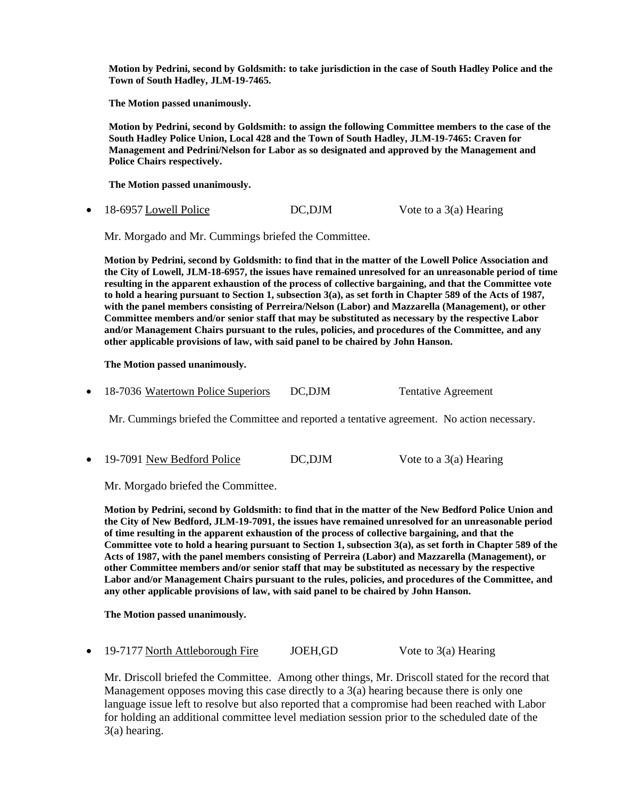**Motion by Pedrini, second by Goldsmith: to take jurisdiction in the case of South Hadley Police and the Town of South Hadley, JLM-19-7465.**

**The Motion passed unanimously.**

**Motion by Pedrini, second by Goldsmith: to assign the following Committee members to the case of the South Hadley Police Union, Local 428 and the Town of South Hadley, JLM-19-7465: Craven for Management and Pedrini/Nelson for Labor as so designated and approved by the Management and Police Chairs respectively.**

**The Motion passed unanimously.**

• 18-6957 Lowell Police DC, DJM Vote to a 3(a) Hearing

Mr. Morgado and Mr. Cummings briefed the Committee.

**Motion by Pedrini, second by Goldsmith: to find that in the matter of the Lowell Police Association and the City of Lowell, JLM-18-6957, the issues have remained unresolved for an unreasonable period of time resulting in the apparent exhaustion of the process of collective bargaining, and that the Committee vote to hold a hearing pursuant to Section 1, subsection 3(a), as set forth in Chapter 589 of the Acts of 1987, with the panel members consisting of Perreira/Nelson (Labor) and Mazzarella (Management), or other Committee members and/or senior staff that may be substituted as necessary by the respective Labor and/or Management Chairs pursuant to the rules, policies, and procedures of the Committee, and any other applicable provisions of law, with said panel to be chaired by John Hanson.**

**The Motion passed unanimously.**

• 18-7036 Watertown Police Superiors DC, DJM Tentative Agreement

Mr. Cummings briefed the Committee and reported a tentative agreement. No action necessary.

• 19-7091 New Bedford Police DC,DJM Vote to a 3(a) Hearing

Mr. Morgado briefed the Committee.

**Motion by Pedrini, second by Goldsmith: to find that in the matter of the New Bedford Police Union and the City of New Bedford, JLM-19-7091, the issues have remained unresolved for an unreasonable period of time resulting in the apparent exhaustion of the process of collective bargaining, and that the Committee vote to hold a hearing pursuant to Section 1, subsection 3(a), as set forth in Chapter 589 of the Acts of 1987, with the panel members consisting of Perreira (Labor) and Mazzarella (Management), or other Committee members and/or senior staff that may be substituted as necessary by the respective Labor and/or Management Chairs pursuant to the rules, policies, and procedures of the Committee, and any other applicable provisions of law, with said panel to be chaired by John Hanson.**

**The Motion passed unanimously.**

• 19-7177 North Attleborough Fire JOEH,GD Vote to 3(a) Hearing

Mr. Driscoll briefed the Committee. Among other things, Mr. Driscoll stated for the record that Management opposes moving this case directly to a 3(a) hearing because there is only one language issue left to resolve but also reported that a compromise had been reached with Labor for holding an additional committee level mediation session prior to the scheduled date of the 3(a) hearing.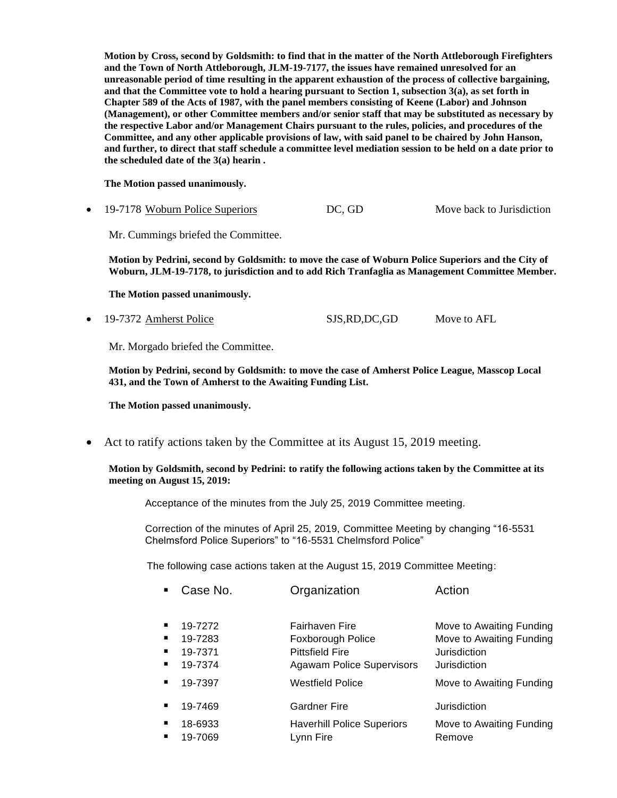**Motion by Cross, second by Goldsmith: to find that in the matter of the North Attleborough Firefighters and the Town of North Attleborough, JLM-19-7177, the issues have remained unresolved for an unreasonable period of time resulting in the apparent exhaustion of the process of collective bargaining, and that the Committee vote to hold a hearing pursuant to Section 1, subsection 3(a), as set forth in Chapter 589 of the Acts of 1987, with the panel members consisting of Keene (Labor) and Johnson (Management), or other Committee members and/or senior staff that may be substituted as necessary by the respective Labor and/or Management Chairs pursuant to the rules, policies, and procedures of the Committee, and any other applicable provisions of law, with said panel to be chaired by John Hanson, and further, to direct that staff schedule a committee level mediation session to be held on a date prior to the scheduled date of the 3(a) hearin .**

**The Motion passed unanimously.**

• 19-7178 Woburn Police Superiors DC, GD Move back to Jurisdiction

Mr. Cummings briefed the Committee.

**Motion by Pedrini, second by Goldsmith: to move the case of Woburn Police Superiors and the City of Woburn, JLM-19-7178, to jurisdiction and to add Rich Tranfaglia as Management Committee Member.**

**The Motion passed unanimously.**

• 19-7372 Amherst Police SJS,RD,DC,GD Move to AFL

Mr. Morgado briefed the Committee.

**Motion by Pedrini, second by Goldsmith: to move the case of Amherst Police League, Masscop Local 431, and the Town of Amherst to the Awaiting Funding List.**

**The Motion passed unanimously.**

• Act to ratify actions taken by the Committee at its August 15, 2019 meeting.

**Motion by Goldsmith, second by Pedrini: to ratify the following actions taken by the Committee at its meeting on August 15, 2019:**

Acceptance of the minutes from the July 25, 2019 Committee meeting.

Correction of the minutes of April 25, 2019, Committee Meeting by changing "16-5531 Chelmsford Police Superiors" to "16-5531 Chelmsford Police"

The following case actions taken at the August 15, 2019 Committee Meeting:

|   | Case No. | Organization                      | Action                   |
|---|----------|-----------------------------------|--------------------------|
|   |          |                                   |                          |
|   | 19-7272  | <b>Fairhaven Fire</b>             | Move to Awaiting Funding |
|   | 19-7283  | Foxborough Police                 | Move to Awaiting Funding |
|   | 19-7371  | <b>Pittsfield Fire</b>            | Jurisdiction             |
| ш | 19-7374  | <b>Agawam Police Supervisors</b>  | Jurisdiction             |
|   | 19-7397  | <b>Westfield Police</b>           | Move to Awaiting Funding |
|   | 19-7469  | Gardner Fire                      | Jurisdiction             |
|   | 18-6933  | <b>Haverhill Police Superiors</b> | Move to Awaiting Funding |
|   | 19-7069  | Lynn Fire                         | Remove                   |